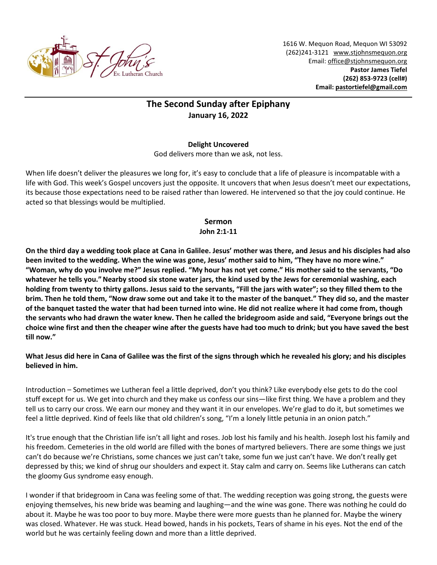

1616 W. Mequon Road, Mequon WI 53092 (262)241-3121 [www.stjohnsmequon.org](http://www.stjohnsmequon.org/) Email[: office@stjohnsmequon.org](mailto:office@stjohnsmequon.org) **Pastor James Tiefel (262) 853-9723 (cell#) Email: [pastortiefel@gmail.com](mailto:pastortiefel@gmail.com)**

# **The Second Sunday after Epiphany January 16, 2022**

## **Delight Uncovered**

God delivers more than we ask, not less.

When life doesn't deliver the pleasures we long for, it's easy to conclude that a life of pleasure is incompatable with a life with God. This week's Gospel uncovers just the opposite. It uncovers that when Jesus doesn't meet our expectations, its because those expectations need to be raised rather than lowered. He intervened so that the joy could continue. He acted so that blessings would be multiplied.

## **Sermon**

## **John 2:1-11**

**On the third day a wedding took place at Cana in Galilee. Jesus' mother was there, and Jesus and his disciples had also been invited to the wedding. When the wine was gone, Jesus' mother said to him, "They have no more wine." "Woman, why do you involve me?" Jesus replied. "My hour has not yet come." His mother said to the servants, "Do whatever he tells you."Nearby stood six stone water jars, the kind used by the Jews for ceremonial washing, each holding from twenty to thirty gallons. Jesus said to the servants, "Fill the jars with water"; so they filled them to the brim. Then he told them, "Now draw some out and take it to the master of the banquet." They did so, and the master of the banquet tasted the water that had been turned into wine. He did not realize where it had come from, though the servants who had drawn the water knew. Then he called the bridegroom aside and said, "Everyone brings out the choice wine first and then the cheaper wine after the guests have had too much to drink; but you have saved the best till now."** 

**What Jesus did here in Cana of Galilee was the first of the signs through which he revealed his glory; and his disciples believed in him.**

Introduction – Sometimes we Lutheran feel a little deprived, don't you think? Like everybody else gets to do the cool stuff except for us. We get into church and they make us confess our sins—like first thing. We have a problem and they tell us to carry our cross. We earn our money and they want it in our envelopes. We're glad to do it, but sometimes we feel a little deprived. Kind of feels like that old children's song, "I'm a lonely little petunia in an onion patch."

It's true enough that the Christian life isn't all light and roses. Job lost his family and his health. Joseph lost his family and his freedom. Cemeteries in the old world are filled with the bones of martyred believers. There are some things we just can't do because we're Christians, some chances we just can't take, some fun we just can't have. We don't really get depressed by this; we kind of shrug our shoulders and expect it. Stay calm and carry on. Seems like Lutherans can catch the gloomy Gus syndrome easy enough.

I wonder if that bridegroom in Cana was feeling some of that. The wedding reception was going strong, the guests were enjoying themselves, his new bride was beaming and laughing—and the wine was gone. There was nothing he could do about it. Maybe he was too poor to buy more. Maybe there were more guests than he planned for. Maybe the winery was closed. Whatever. He was stuck. Head bowed, hands in his pockets, Tears of shame in his eyes. Not the end of the world but he was certainly feeling down and more than a little deprived.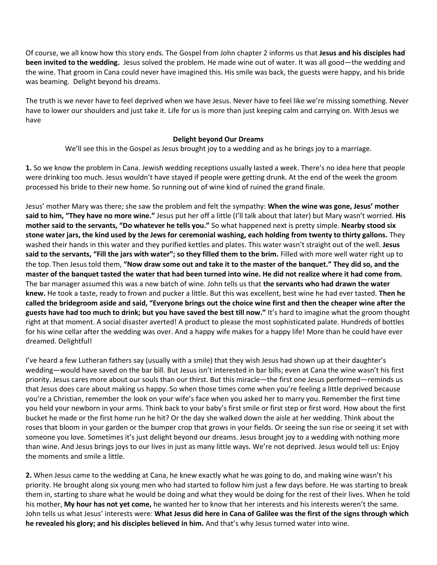Of course, we all know how this story ends. The Gospel from John chapter 2 informs us that **Jesus and his disciples had been invited to the wedding.** Jesus solved the problem. He made wine out of water. It was all good—the wedding and the wine. That groom in Cana could never have imagined this. His smile was back, the guests were happy, and his bride was beaming. Delight beyond his dreams.

The truth is we never have to feel deprived when we have Jesus. Never have to feel like we're missing something. Never have to lower our shoulders and just take it. Life for us is more than just keeping calm and carrying on. With Jesus we have

#### **Delight beyond Our Dreams**

We'll see this in the Gospel as Jesus brought joy to a wedding and as he brings joy to a marriage.

**1.** So we know the problem in Cana. Jewish wedding receptions usually lasted a week. There's no idea here that people were drinking too much. Jesus wouldn't have stayed if people were getting drunk. At the end of the week the groom processed his bride to their new home. So running out of wine kind of ruined the grand finale.

Jesus' mother Mary was there; she saw the problem and felt the sympathy: **When the wine was gone, Jesus' mother said to him, "They have no more wine."** Jesus put her off a little (I'll talk about that later) but Mary wasn't worried. **His mother said to the servants, "Do whatever he tells you."** So what happened next is pretty simple. **Nearby stood six stone water jars, the kind used by the Jews for ceremonial washing, each holding from twenty to thirty gallons.** They washed their hands in this water and they purified kettles and plates. This water wasn't straight out of the well. **Jesus said to the servants, "Fill the jars with water"; so they filled them to the brim.** Filled with more well water right up to the top. Then Jesus told them, **"Now draw some out and take it to the master of the banquet." They did so, and the master of the banquet tasted the water that had been turned into wine. He did not realize where it had come from.**  The bar manager assumed this was a new batch of wine. John tells us that **the servants who had drawn the water knew.** He took a taste, ready to frown and pucker a little. But this was excellent, best wine he had ever tasted. **Then he called the bridegroom aside and said, "Everyone brings out the choice wine first and then the cheaper wine after the guests have had too much to drink; but you have saved the best till now."** It's hard to imagine what the groom thought right at that moment. A social disaster averted! A product to please the most sophisticated palate. Hundreds of bottles for his wine cellar after the wedding was over. And a happy wife makes for a happy life! More than he could have ever dreamed. Delightful!

I've heard a few Lutheran fathers say (usually with a smile) that they wish Jesus had shown up at their daughter's wedding—would have saved on the bar bill. But Jesus isn't interested in bar bills; even at Cana the wine wasn't his first priority. Jesus cares more about our souls than our thirst. But this miracle—the first one Jesus performed—reminds us that Jesus does care about making us happy. So when those times come when you're feeling a little deprived because you're a Christian, remember the look on your wife's face when you asked her to marry you. Remember the first time you held your newborn in your arms. Think back to your baby's first smile or first step or first word. How about the first bucket he made or the first home run he hit? Or the day she walked down the aisle at her wedding. Think about the roses that bloom in your garden or the bumper crop that grows in your fields. Or seeing the sun rise or seeing it set with someone you love. Sometimes it's just delight beyond our dreams. Jesus brought joy to a wedding with nothing more than wine. And Jesus brings joys to our lives in just as many little ways. We're not deprived. Jesus would tell us: Enjoy the moments and smile a little.

**2.** When Jesus came to the wedding at Cana, he knew exactly what he was going to do, and making wine wasn't his priority. He brought along six young men who had started to follow him just a few days before. He was starting to break them in, starting to share what he would be doing and what they would be doing for the rest of their lives. When he told his mother, **My hour has not yet come,** he wanted her to know that her interests and his interests weren't the same. John tells us what Jesus' interests were: **What Jesus did here in Cana of Galilee was the first of the signs through which he revealed his glory; and his disciples believed in him.** And that's why Jesus turned water into wine.